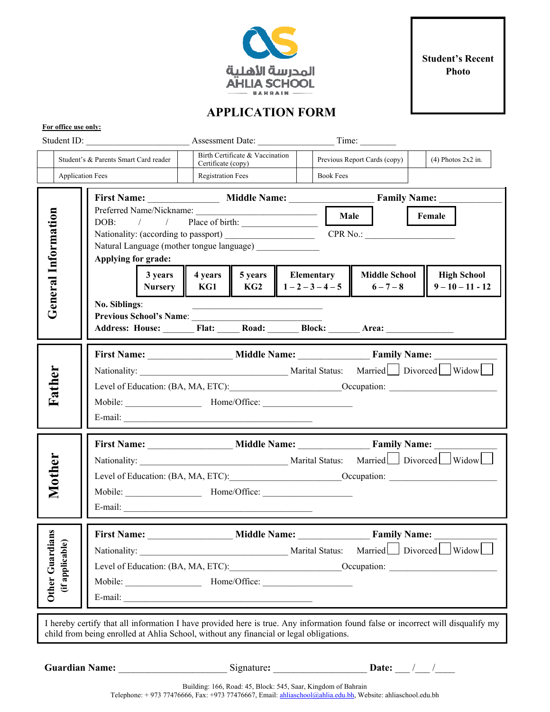

**Student's Recent Photo** 

## **APPLICATION FORM**

|                                                                                                                                                                                                                           |                                                                  | Student ID:<br>Time:<br>Assessment Date:                                                                          |                                                                                                                         |                                       |  |                                                             |                              |                                          |  |
|---------------------------------------------------------------------------------------------------------------------------------------------------------------------------------------------------------------------------|------------------------------------------------------------------|-------------------------------------------------------------------------------------------------------------------|-------------------------------------------------------------------------------------------------------------------------|---------------------------------------|--|-------------------------------------------------------------|------------------------------|------------------------------------------|--|
|                                                                                                                                                                                                                           | Student's & Parents Smart Card reader<br><b>Application Fees</b> |                                                                                                                   | Birth Certificate & Vaccination<br>Certificate (copy)<br><b>Registration Fees</b>                                       |                                       |  | Previous Report Cards (copy)<br><b>Book Fees</b>            |                              | $(4)$ Photos 2x2 in.                     |  |
|                                                                                                                                                                                                                           |                                                                  | Applying for grade:                                                                                               | Nationality: (according to passport) _____________________<br>Natural Language (mother tongue language) _______________ |                                       |  | First Name: Middle Name: Family Name:<br>Female<br>CPR No.: |                              |                                          |  |
| <b>General Information</b>                                                                                                                                                                                                |                                                                  | 3 years<br><b>Nursery</b><br>No. Siblings:<br>Previous School's Name:<br>Address: House: Flat: Road: Block: Area: | KG1                                                                                                                     | 4 years   5 years   Elementary<br>KG2 |  | $1 - 2 - 3 - 4 - 5$                                         | Middle School<br>$6 - 7 - 8$ | <b>High School</b><br>$9 - 10 - 11 - 12$ |  |
|                                                                                                                                                                                                                           | Father                                                           | Mobile: Home/Office:                                                                                              |                                                                                                                         |                                       |  |                                                             |                              |                                          |  |
|                                                                                                                                                                                                                           | Mother                                                           | E-mail: $\frac{1}{2}$                                                                                             |                                                                                                                         |                                       |  |                                                             |                              |                                          |  |
| $\mathbf{a}$<br>Other Guardia                                                                                                                                                                                             | (if applicable)                                                  |                                                                                                                   |                                                                                                                         |                                       |  |                                                             |                              |                                          |  |
| I hereby certify that all information I have provided here is true. Any information found false or incorrect will disqualify my<br>child from being enrolled at Ahlia School, without any financial or legal obligations. |                                                                  |                                                                                                                   |                                                                                                                         |                                       |  |                                                             |                              |                                          |  |
| <b>Guardian Name:</b><br>Signature:<br>Date: $\frac{1}{\sqrt{2}}$                                                                                                                                                         |                                                                  |                                                                                                                   |                                                                                                                         |                                       |  |                                                             |                              |                                          |  |

**For office use only:** 

Building: 166, Road: 45, Block: 545, Saar, Kingdom of Bahrain Telephone: + 973 77476666, Fax: +973 77476667, Email: ahliaschool@ahlia.edu.bh, Website: ahliaschool.edu.bh